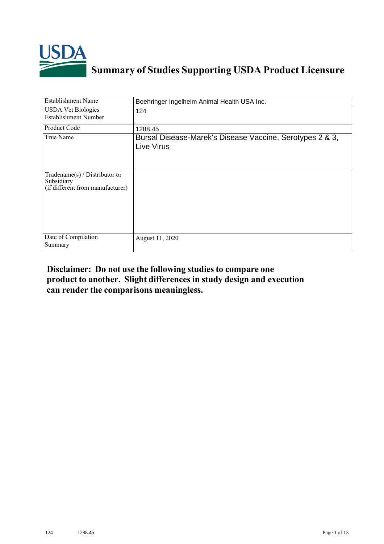

## **Summary of Studies Supporting USDA Product Licensure**

| <b>Establishment Name</b>                                                          | Boehringer Ingelheim Animal Health USA Inc.                            |
|------------------------------------------------------------------------------------|------------------------------------------------------------------------|
| <b>USDA Vet Biologics</b><br>Establishment Number                                  | 124                                                                    |
| Product Code                                                                       | 1288.45                                                                |
| True Name                                                                          | Bursal Disease-Marek's Disease Vaccine, Serotypes 2 & 3,<br>Live Virus |
| Tradename $(s)$ / Distributor or<br>Subsidiary<br>(if different from manufacturer) |                                                                        |
| Date of Compilation<br>Summary                                                     | August 11, 2020                                                        |

## **Disclaimer: Do not use the following studiesto compare one product to another. Slight differencesin study design and execution can render the comparisons meaningless.**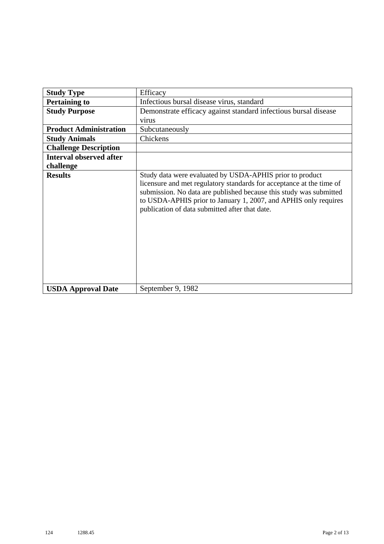| <b>Study Type</b>              | Efficacy                                                                                                                                                                                                                                                                                                                    |
|--------------------------------|-----------------------------------------------------------------------------------------------------------------------------------------------------------------------------------------------------------------------------------------------------------------------------------------------------------------------------|
| <b>Pertaining to</b>           | Infectious bursal disease virus, standard                                                                                                                                                                                                                                                                                   |
| <b>Study Purpose</b>           | Demonstrate efficacy against standard infectious bursal disease                                                                                                                                                                                                                                                             |
|                                | virus                                                                                                                                                                                                                                                                                                                       |
| <b>Product Administration</b>  | Subcutaneously                                                                                                                                                                                                                                                                                                              |
| <b>Study Animals</b>           | Chickens                                                                                                                                                                                                                                                                                                                    |
| <b>Challenge Description</b>   |                                                                                                                                                                                                                                                                                                                             |
| <b>Interval observed after</b> |                                                                                                                                                                                                                                                                                                                             |
| challenge                      |                                                                                                                                                                                                                                                                                                                             |
| <b>Results</b>                 | Study data were evaluated by USDA-APHIS prior to product<br>licensure and met regulatory standards for acceptance at the time of<br>submission. No data are published because this study was submitted<br>to USDA-APHIS prior to January 1, 2007, and APHIS only requires<br>publication of data submitted after that date. |
| <b>USDA Approval Date</b>      | September 9, 1982                                                                                                                                                                                                                                                                                                           |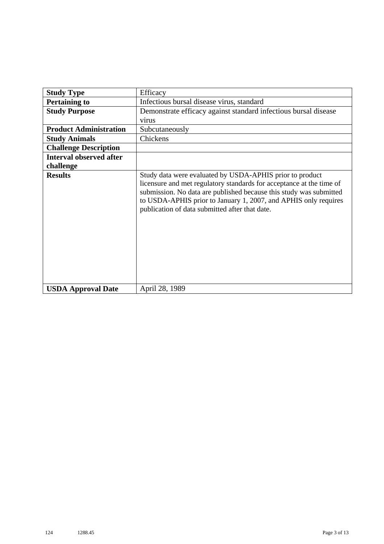| <b>Study Type</b>              | Efficacy                                                                                                                                                                                                                                                                                                                    |
|--------------------------------|-----------------------------------------------------------------------------------------------------------------------------------------------------------------------------------------------------------------------------------------------------------------------------------------------------------------------------|
| <b>Pertaining to</b>           | Infectious bursal disease virus, standard                                                                                                                                                                                                                                                                                   |
| <b>Study Purpose</b>           | Demonstrate efficacy against standard infectious bursal disease                                                                                                                                                                                                                                                             |
|                                | virus                                                                                                                                                                                                                                                                                                                       |
| <b>Product Administration</b>  | Subcutaneously                                                                                                                                                                                                                                                                                                              |
| <b>Study Animals</b>           | Chickens                                                                                                                                                                                                                                                                                                                    |
| <b>Challenge Description</b>   |                                                                                                                                                                                                                                                                                                                             |
| <b>Interval observed after</b> |                                                                                                                                                                                                                                                                                                                             |
| challenge                      |                                                                                                                                                                                                                                                                                                                             |
| <b>Results</b>                 | Study data were evaluated by USDA-APHIS prior to product<br>licensure and met regulatory standards for acceptance at the time of<br>submission. No data are published because this study was submitted<br>to USDA-APHIS prior to January 1, 2007, and APHIS only requires<br>publication of data submitted after that date. |
| <b>USDA Approval Date</b>      | April 28, 1989                                                                                                                                                                                                                                                                                                              |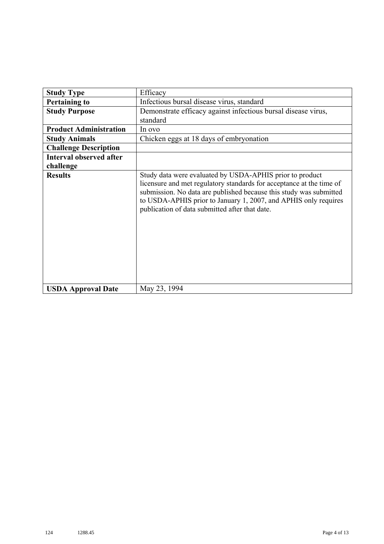| <b>Study Type</b>              | Efficacy                                                                                                                                                                                                                                                                                                                    |
|--------------------------------|-----------------------------------------------------------------------------------------------------------------------------------------------------------------------------------------------------------------------------------------------------------------------------------------------------------------------------|
|                                |                                                                                                                                                                                                                                                                                                                             |
| <b>Pertaining to</b>           | Infectious bursal disease virus, standard                                                                                                                                                                                                                                                                                   |
| <b>Study Purpose</b>           | Demonstrate efficacy against infectious bursal disease virus,                                                                                                                                                                                                                                                               |
|                                | standard                                                                                                                                                                                                                                                                                                                    |
| <b>Product Administration</b>  | In ovo                                                                                                                                                                                                                                                                                                                      |
| <b>Study Animals</b>           | Chicken eggs at 18 days of embryonation                                                                                                                                                                                                                                                                                     |
| <b>Challenge Description</b>   |                                                                                                                                                                                                                                                                                                                             |
| <b>Interval observed after</b> |                                                                                                                                                                                                                                                                                                                             |
| challenge                      |                                                                                                                                                                                                                                                                                                                             |
| <b>Results</b>                 | Study data were evaluated by USDA-APHIS prior to product<br>licensure and met regulatory standards for acceptance at the time of<br>submission. No data are published because this study was submitted<br>to USDA-APHIS prior to January 1, 2007, and APHIS only requires<br>publication of data submitted after that date. |
| <b>USDA Approval Date</b>      | May 23, 1994                                                                                                                                                                                                                                                                                                                |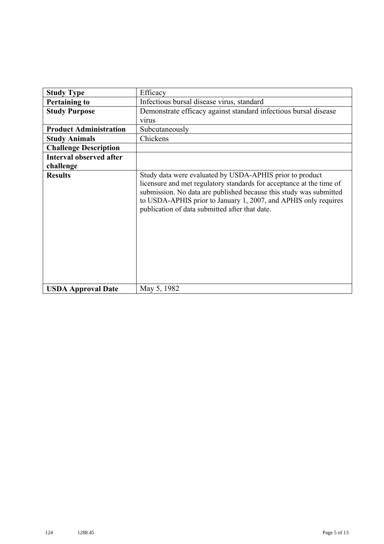| <b>Study Type</b>              | Efficacy                                                                                                                                                                                                                                                                                                                    |
|--------------------------------|-----------------------------------------------------------------------------------------------------------------------------------------------------------------------------------------------------------------------------------------------------------------------------------------------------------------------------|
| <b>Pertaining to</b>           | Infectious bursal disease virus, standard                                                                                                                                                                                                                                                                                   |
| <b>Study Purpose</b>           | Demonstrate efficacy against standard infectious bursal disease                                                                                                                                                                                                                                                             |
|                                | virus                                                                                                                                                                                                                                                                                                                       |
| <b>Product Administration</b>  | Subcutaneously                                                                                                                                                                                                                                                                                                              |
| <b>Study Animals</b>           | Chickens                                                                                                                                                                                                                                                                                                                    |
| <b>Challenge Description</b>   |                                                                                                                                                                                                                                                                                                                             |
| <b>Interval observed after</b> |                                                                                                                                                                                                                                                                                                                             |
| challenge                      |                                                                                                                                                                                                                                                                                                                             |
| <b>Results</b>                 | Study data were evaluated by USDA-APHIS prior to product<br>licensure and met regulatory standards for acceptance at the time of<br>submission. No data are published because this study was submitted<br>to USDA-APHIS prior to January 1, 2007, and APHIS only requires<br>publication of data submitted after that date. |
| <b>USDA Approval Date</b>      | May 5, 1982                                                                                                                                                                                                                                                                                                                 |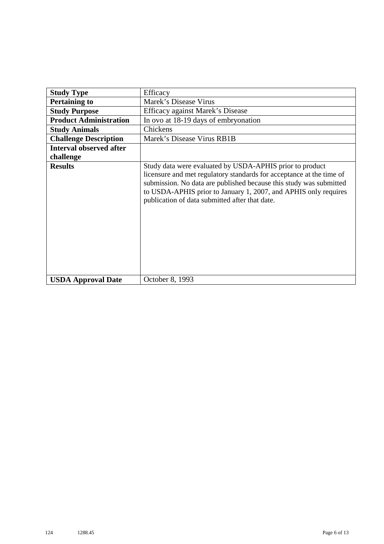| <b>Study Type</b>              | Efficacy                                                                                                                                                                                                                                                                                                                    |
|--------------------------------|-----------------------------------------------------------------------------------------------------------------------------------------------------------------------------------------------------------------------------------------------------------------------------------------------------------------------------|
| <b>Pertaining to</b>           | Marek's Disease Virus                                                                                                                                                                                                                                                                                                       |
| <b>Study Purpose</b>           | Efficacy against Marek's Disease                                                                                                                                                                                                                                                                                            |
| <b>Product Administration</b>  | In ovo at 18-19 days of embryonation                                                                                                                                                                                                                                                                                        |
| <b>Study Animals</b>           | Chickens                                                                                                                                                                                                                                                                                                                    |
| <b>Challenge Description</b>   | Marek's Disease Virus RB1B                                                                                                                                                                                                                                                                                                  |
| <b>Interval observed after</b> |                                                                                                                                                                                                                                                                                                                             |
| challenge                      |                                                                                                                                                                                                                                                                                                                             |
| <b>Results</b>                 | Study data were evaluated by USDA-APHIS prior to product<br>licensure and met regulatory standards for acceptance at the time of<br>submission. No data are published because this study was submitted<br>to USDA-APHIS prior to January 1, 2007, and APHIS only requires<br>publication of data submitted after that date. |
| <b>USDA Approval Date</b>      | October 8, 1993                                                                                                                                                                                                                                                                                                             |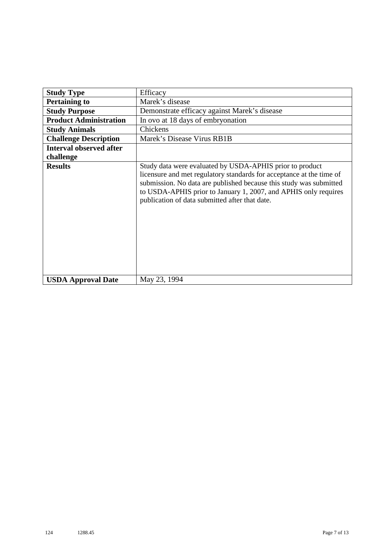| <b>Study Type</b>              | Efficacy                                                                                                                                                                                                                                                                                                                    |
|--------------------------------|-----------------------------------------------------------------------------------------------------------------------------------------------------------------------------------------------------------------------------------------------------------------------------------------------------------------------------|
| <b>Pertaining to</b>           | Marek's disease                                                                                                                                                                                                                                                                                                             |
| <b>Study Purpose</b>           | Demonstrate efficacy against Marek's disease                                                                                                                                                                                                                                                                                |
| <b>Product Administration</b>  | In ovo at 18 days of embryonation                                                                                                                                                                                                                                                                                           |
| <b>Study Animals</b>           | Chickens                                                                                                                                                                                                                                                                                                                    |
| <b>Challenge Description</b>   | Marek's Disease Virus RB1B                                                                                                                                                                                                                                                                                                  |
| <b>Interval observed after</b> |                                                                                                                                                                                                                                                                                                                             |
| challenge                      |                                                                                                                                                                                                                                                                                                                             |
| <b>Results</b>                 | Study data were evaluated by USDA-APHIS prior to product<br>licensure and met regulatory standards for acceptance at the time of<br>submission. No data are published because this study was submitted<br>to USDA-APHIS prior to January 1, 2007, and APHIS only requires<br>publication of data submitted after that date. |
| <b>USDA Approval Date</b>      | May 23, 1994                                                                                                                                                                                                                                                                                                                |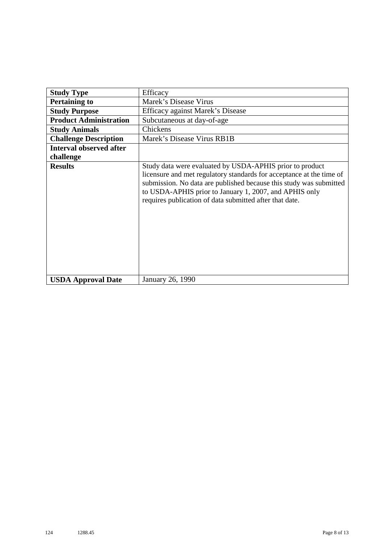| <b>Study Type</b>              | Efficacy                                                                                                                                                                                                                                                                                                                    |
|--------------------------------|-----------------------------------------------------------------------------------------------------------------------------------------------------------------------------------------------------------------------------------------------------------------------------------------------------------------------------|
| <b>Pertaining to</b>           | Marek's Disease Virus                                                                                                                                                                                                                                                                                                       |
| <b>Study Purpose</b>           | Efficacy against Marek's Disease                                                                                                                                                                                                                                                                                            |
| <b>Product Administration</b>  | Subcutaneous at day-of-age                                                                                                                                                                                                                                                                                                  |
| <b>Study Animals</b>           | Chickens                                                                                                                                                                                                                                                                                                                    |
| <b>Challenge Description</b>   | Marek's Disease Virus RB1B                                                                                                                                                                                                                                                                                                  |
| <b>Interval observed after</b> |                                                                                                                                                                                                                                                                                                                             |
| challenge                      |                                                                                                                                                                                                                                                                                                                             |
| <b>Results</b>                 | Study data were evaluated by USDA-APHIS prior to product<br>licensure and met regulatory standards for acceptance at the time of<br>submission. No data are published because this study was submitted<br>to USDA-APHIS prior to January 1, 2007, and APHIS only<br>requires publication of data submitted after that date. |
| <b>USDA Approval Date</b>      | January 26, 1990                                                                                                                                                                                                                                                                                                            |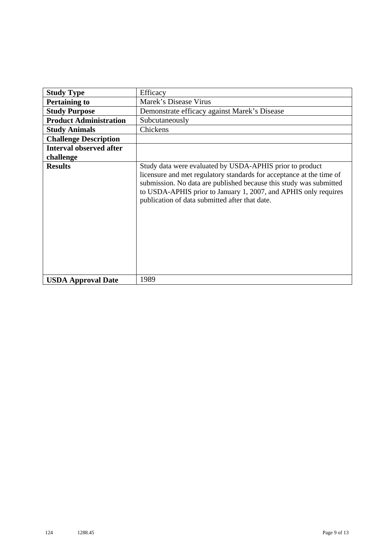| <b>Study Type</b>              | Efficacy                                                                                                                                                                                                                                                                                                                    |
|--------------------------------|-----------------------------------------------------------------------------------------------------------------------------------------------------------------------------------------------------------------------------------------------------------------------------------------------------------------------------|
| <b>Pertaining to</b>           | Marek's Disease Virus                                                                                                                                                                                                                                                                                                       |
| <b>Study Purpose</b>           | Demonstrate efficacy against Marek's Disease                                                                                                                                                                                                                                                                                |
| <b>Product Administration</b>  | Subcutaneously                                                                                                                                                                                                                                                                                                              |
| <b>Study Animals</b>           | Chickens                                                                                                                                                                                                                                                                                                                    |
| <b>Challenge Description</b>   |                                                                                                                                                                                                                                                                                                                             |
| <b>Interval observed after</b> |                                                                                                                                                                                                                                                                                                                             |
| challenge                      |                                                                                                                                                                                                                                                                                                                             |
| <b>Results</b>                 | Study data were evaluated by USDA-APHIS prior to product<br>licensure and met regulatory standards for acceptance at the time of<br>submission. No data are published because this study was submitted<br>to USDA-APHIS prior to January 1, 2007, and APHIS only requires<br>publication of data submitted after that date. |
| <b>USDA Approval Date</b>      | 1989                                                                                                                                                                                                                                                                                                                        |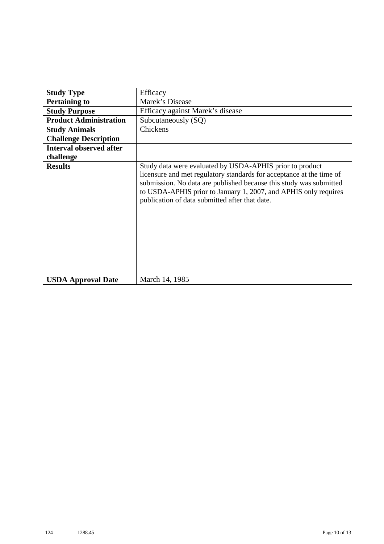| <b>Study Type</b>              | Efficacy                                                                                                                                                                                                                                                                                                                    |
|--------------------------------|-----------------------------------------------------------------------------------------------------------------------------------------------------------------------------------------------------------------------------------------------------------------------------------------------------------------------------|
| <b>Pertaining to</b>           | Marek's Disease                                                                                                                                                                                                                                                                                                             |
| <b>Study Purpose</b>           | Efficacy against Marek's disease                                                                                                                                                                                                                                                                                            |
| <b>Product Administration</b>  | Subcutaneously (SQ)                                                                                                                                                                                                                                                                                                         |
| <b>Study Animals</b>           | Chickens                                                                                                                                                                                                                                                                                                                    |
| <b>Challenge Description</b>   |                                                                                                                                                                                                                                                                                                                             |
| <b>Interval observed after</b> |                                                                                                                                                                                                                                                                                                                             |
| challenge                      |                                                                                                                                                                                                                                                                                                                             |
| <b>Results</b>                 | Study data were evaluated by USDA-APHIS prior to product<br>licensure and met regulatory standards for acceptance at the time of<br>submission. No data are published because this study was submitted<br>to USDA-APHIS prior to January 1, 2007, and APHIS only requires<br>publication of data submitted after that date. |
| <b>USDA Approval Date</b>      | March 14, 1985                                                                                                                                                                                                                                                                                                              |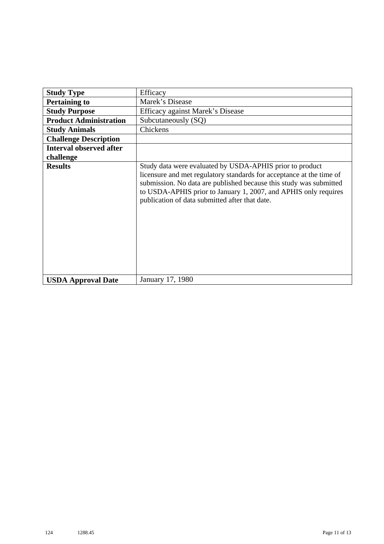| <b>Study Type</b>              | Efficacy                                                                                                                                                                                                                                                                                                                    |
|--------------------------------|-----------------------------------------------------------------------------------------------------------------------------------------------------------------------------------------------------------------------------------------------------------------------------------------------------------------------------|
| <b>Pertaining to</b>           | Marek's Disease                                                                                                                                                                                                                                                                                                             |
| <b>Study Purpose</b>           | Efficacy against Marek's Disease                                                                                                                                                                                                                                                                                            |
| <b>Product Administration</b>  | Subcutaneously (SQ)                                                                                                                                                                                                                                                                                                         |
| <b>Study Animals</b>           | Chickens                                                                                                                                                                                                                                                                                                                    |
| <b>Challenge Description</b>   |                                                                                                                                                                                                                                                                                                                             |
| <b>Interval observed after</b> |                                                                                                                                                                                                                                                                                                                             |
| challenge                      |                                                                                                                                                                                                                                                                                                                             |
| <b>Results</b>                 | Study data were evaluated by USDA-APHIS prior to product<br>licensure and met regulatory standards for acceptance at the time of<br>submission. No data are published because this study was submitted<br>to USDA-APHIS prior to January 1, 2007, and APHIS only requires<br>publication of data submitted after that date. |
| <b>USDA Approval Date</b>      | January 17, 1980                                                                                                                                                                                                                                                                                                            |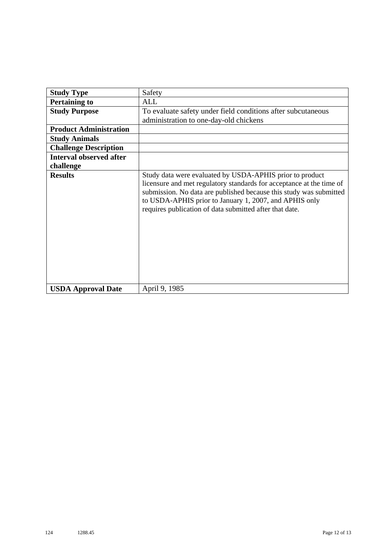| <b>Study Type</b>              | Safety                                                                                                                                                                                                                                                                                                                      |
|--------------------------------|-----------------------------------------------------------------------------------------------------------------------------------------------------------------------------------------------------------------------------------------------------------------------------------------------------------------------------|
| <b>Pertaining to</b>           | <b>ALL</b>                                                                                                                                                                                                                                                                                                                  |
| <b>Study Purpose</b>           | To evaluate safety under field conditions after subcutaneous                                                                                                                                                                                                                                                                |
|                                | administration to one-day-old chickens                                                                                                                                                                                                                                                                                      |
| <b>Product Administration</b>  |                                                                                                                                                                                                                                                                                                                             |
| <b>Study Animals</b>           |                                                                                                                                                                                                                                                                                                                             |
| <b>Challenge Description</b>   |                                                                                                                                                                                                                                                                                                                             |
| <b>Interval observed after</b> |                                                                                                                                                                                                                                                                                                                             |
| challenge                      |                                                                                                                                                                                                                                                                                                                             |
| <b>Results</b>                 | Study data were evaluated by USDA-APHIS prior to product<br>licensure and met regulatory standards for acceptance at the time of<br>submission. No data are published because this study was submitted<br>to USDA-APHIS prior to January 1, 2007, and APHIS only<br>requires publication of data submitted after that date. |
| <b>USDA Approval Date</b>      | April 9, 1985                                                                                                                                                                                                                                                                                                               |